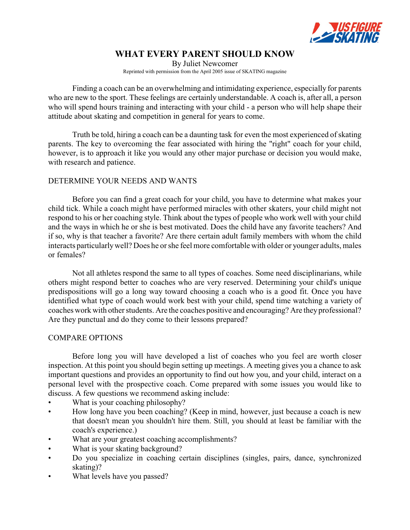

# **WHAT EVERY PARENT SHOULD KNOW**

By Juliet Newcomer Reprinted with permission from the April 2005 issue of SKATING magazine

Finding a coach can be an overwhelming and intimidating experience, especially for parents who are new to the sport. These feelings are certainly understandable. A coach is, after all, a person who will spend hours training and interacting with your child - a person who will help shape their attitude about skating and competition in general for years to come.

Truth be told, hiring a coach can be a daunting task for even the most experienced of skating parents. The key to overcoming the fear associated with hiring the "right" coach for your child, however, is to approach it like you would any other major purchase or decision you would make, with research and patience.

## DETERMINE YOUR NEEDS AND WANTS

Before you can find a great coach for your child, you have to determine what makes your child tick. While a coach might have performed miracles with other skaters, your child might not respond to his or her coaching style. Think about the types of people who work well with your child and the ways in which he or she is best motivated. Does the child have any favorite teachers? And if so, why is that teacher a favorite? Are there certain adult family members with whom the child interacts particularlywell? Does he or she feel more comfortable with older or younger adults, males or females?

Not all athletes respond the same to all types of coaches. Some need disciplinarians, while others might respond better to coaches who are very reserved. Determining your child's unique predispositions will go a long way toward choosing a coach who is a good fit. Once you have identified what type of coach would work best with your child, spend time watching a variety of coaches work with other students. Are the coaches positive and encouraging? Are they professional? Are they punctual and do they come to their lessons prepared?

## COMPARE OPTIONS

Before long you will have developed a list of coaches who you feel are worth closer inspection. At this point you should begin setting up meetings. A meeting gives you a chance to ask important questions and provides an opportunity to find out how you, and your child, interact on a personal level with the prospective coach. Come prepared with some issues you would like to discuss. A few questions we recommend asking include:

- What is your coaching philosophy?
- How long have you been coaching? (Keep in mind, however, just because a coach is new that doesn't mean you shouldn't hire them. Still, you should at least be familiar with the coach's experience.)
- What are your greatest coaching accomplishments?
- What is your skating background?
- Do you specialize in coaching certain disciplines (singles, pairs, dance, synchronized skating)?
- What levels have you passed?